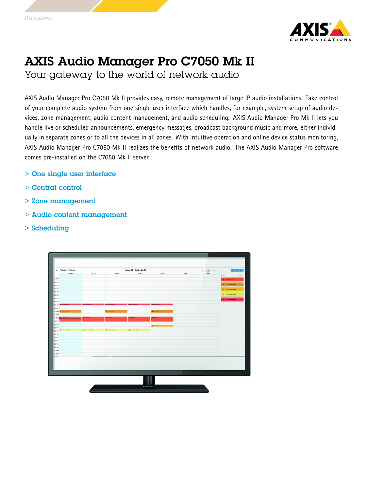

## AXIS Audio Manager Pro C7050 Mk II

Your gateway to the world of network audio

AXIS Audio Manager Pro C7050 Mk II provides easy, remote management of large IP audio installations. Take control of your complete audio system from one single user interface which handles, for example, system setup of audio devices, zone management, audio content management, and audio scheduling. AXIS Audio Manager Pro Mk II lets you handle live or scheduled announcements, emergency messages, broadcast background music and more, either individually in separate zones or to all the devices in all zones. With intuitive operation and online device status monitoring, AXIS Audio Manager Pro C7050 Mk II realizes the benefits of network audio. The AXIS Audio Manager Pro software comes pre-installed on the C7050 Mk II server.

- > One single user interface
- > Central control
- > Zone management
- > Audio content management
- > Scheduling

|                            | x Audio plan - Building A  |                           | August 30 - September 05<br>$\epsilon$<br>TODAY |                     |                        |        |  |  | $+$ AND BOHERALE    |         |
|----------------------------|----------------------------|---------------------------|-------------------------------------------------|---------------------|------------------------|--------|--|--|---------------------|---------|
|                            | 30 Man                     | or by<br>21 Tue<br>01 Wed |                                                 | 03.86<br>04 Sat     |                        | 05 Sun |  |  |                     |         |
| 92:00 AM                   |                            |                           |                                                 |                     |                        |        |  |  | Mate                | $+ 100$ |
| 100 AM                     |                            |                           |                                                 |                     |                        |        |  |  | <b>By Lunchrade</b> |         |
| 200 AM                     |                            |                           |                                                 |                     |                        |        |  |  | IV Annuncement 4    |         |
| 300 AM                     |                            |                           |                                                 |                     |                        |        |  |  | W Announcement 3    |         |
| 400 AM                     |                            |                           |                                                 |                     |                        |        |  |  |                     |         |
| <b>500 AM</b>              |                            |                           |                                                 |                     |                        |        |  |  | ## Announcement2    |         |
| 600 AM                     |                            |                           |                                                 |                     |                        |        |  |  | IV Announcement 1   |         |
| 700 AM                     |                            |                           |                                                 |                     |                        |        |  |  |                     |         |
| <b>BOOMAR</b>              |                            |                           |                                                 |                     |                        |        |  |  |                     |         |
| 9 00 AM                    |                            |                           |                                                 |                     |                        |        |  |  |                     |         |
| <b>STODAM</b>              | <b>NOO AM REANNAMENTAL</b> |                           | <b>By AMOUNTAINE</b>                            |                     | <b>By Amounterfull</b> |        |  |  |                     |         |
| 3200 PLA                   |                            | <b>RESINANCE</b>          | <b>By Lunch rate</b>                            | <b>By contracts</b> | <b>By Lunch radio</b>  |        |  |  |                     |         |
| <b>ROOPM</b>               |                            |                           |                                                 |                     |                        |        |  |  |                     |         |
| 200 PM                     |                            |                           |                                                 |                     |                        |        |  |  |                     |         |
| 300 PM                     |                            |                           |                                                 |                     | <b>By Amountement</b>  |        |  |  |                     |         |
| <b>ACCPM</b>               | <b>By Aveuronters2</b>     | <b>MANUFACTION</b>        | <b>By Annuncenters</b>                          | <b>R</b> Ambrosnet1 |                        |        |  |  |                     |         |
| <b>SOOPM</b>               |                            |                           |                                                 |                     |                        |        |  |  |                     |         |
| <b>600 PM</b>              |                            |                           |                                                 |                     |                        |        |  |  |                     |         |
| 700 PM                     |                            |                           |                                                 |                     |                        |        |  |  |                     |         |
| ECOPM                      |                            |                           |                                                 |                     |                        |        |  |  |                     |         |
| <b>BOOPM</b>               |                            |                           |                                                 |                     |                        |        |  |  |                     |         |
| <b>N200 PM</b><br>91.00 PM |                            |                           |                                                 |                     |                        |        |  |  |                     |         |
|                            |                            |                           |                                                 |                     |                        |        |  |  |                     |         |